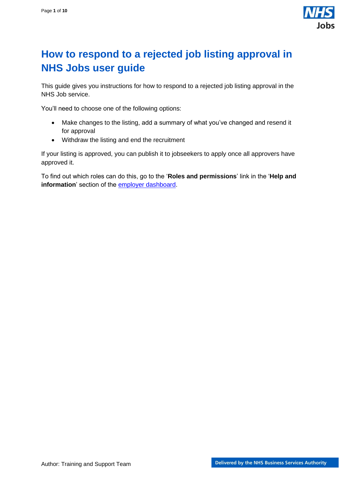

# <span id="page-0-0"></span>**How to respond to a rejected job listing approval in NHS Jobs user guide**

This guide gives you instructions for how to respond to a rejected job listing approval in the NHS Job service.

You'll need to choose one of the following options:

- Make changes to the listing, add a summary of what you've changed and resend it for approval
- Withdraw the listing and end the recruitment

If your listing is approved, you can publish it to jobseekers to apply once all approvers have approved it.

To find out which roles can do this, go to the '**Roles and permissions**' link in the '**Help and information**' section of the [employer dashboard.](https://beta.jobs.nhs.uk/home)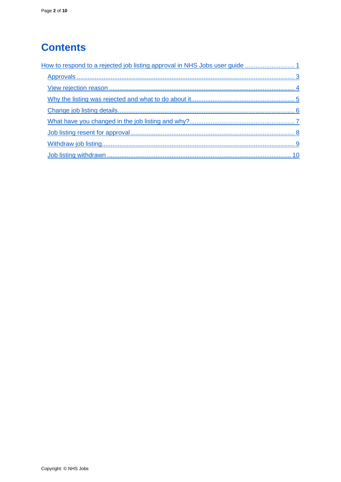# **Contents**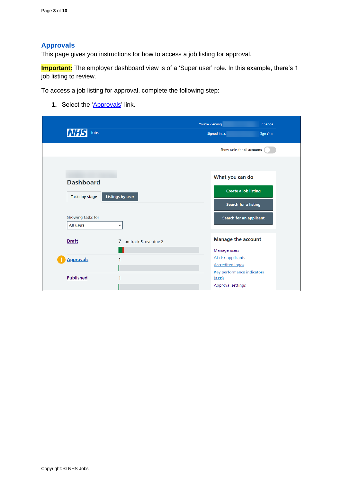## <span id="page-2-0"></span>**Approvals**

This page gives you instructions for how to access a job listing for approval.

**Important:** The employer dashboard view is of a 'Super user' role. In this example, there's 1 job listing to review.

To access a job listing for approval, complete the following step:

**1.** Select the '**Approvals'** link.

| <b>NHS</b><br>Jobs             |                           | You're viewing<br>Signed in as                                          | Change<br><b>Sign Out</b> |
|--------------------------------|---------------------------|-------------------------------------------------------------------------|---------------------------|
|                                |                           | Show tasks for all accounts                                             |                           |
| <b>Dashboard</b>               |                           | What you can do                                                         |                           |
| Tasks by stage                 | <b>Listings by user</b>   | <b>Create a job listing</b><br><b>Search for a listing</b>              |                           |
| Showing tasks for<br>All users | $\check{ }$               | <b>Search for an applicant</b>                                          |                           |
| <b>Draft</b>                   | 7 - on track 5, overdue 2 | <b>Manage the account</b>                                               |                           |
| <b>Approvals</b>               | 1                         | <b>Manage users</b><br>At risk applicants<br><b>Accredited logos</b>    |                           |
| <b>Published</b>               | 1                         | <b>Key performance indicators</b><br>(KPIs)<br><b>Approval settings</b> |                           |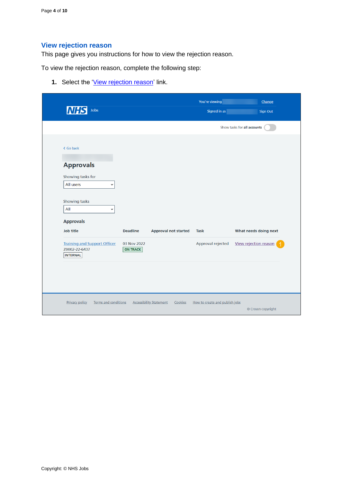# <span id="page-3-0"></span>**View rejection reason**

This page gives you instructions for how to view the rejection reason.

To view the rejection reason, complete the following step:

**1.** Select the ['View rejection reason'](#page-4-0) link.

| <b>NHS</b><br>Jobs                                                      |                                |                                           | You're viewing<br>Signed in as | Change<br>Sign Out          |
|-------------------------------------------------------------------------|--------------------------------|-------------------------------------------|--------------------------------|-----------------------------|
|                                                                         |                                |                                           |                                | Show tasks for all accounts |
| < Go back                                                               |                                |                                           |                                |                             |
| <b>Approvals</b>                                                        |                                |                                           |                                |                             |
| Showing tasks for<br>All users<br>$\check{~}$                           |                                |                                           |                                |                             |
| Showing tasks<br>All<br>$\checkmark$<br><b>Approvals</b>                |                                |                                           |                                |                             |
| <b>Job title</b>                                                        | <b>Deadline</b>                | <b>Approval not started</b>               | <b>Task</b>                    | What needs doing next       |
| <b>Training and Support Officer</b><br>Z0002-22-6437<br><b>INTERNAL</b> | 03 Nov 2022<br><b>ON TRACK</b> |                                           | Approval rejected              | View rejection reason       |
|                                                                         |                                |                                           |                                |                             |
| <b>Privacy policy</b><br><b>Terms and conditions</b>                    |                                | <b>Accessibility Statement</b><br>Cookies | How to create and publish jobs |                             |
|                                                                         |                                |                                           |                                |                             |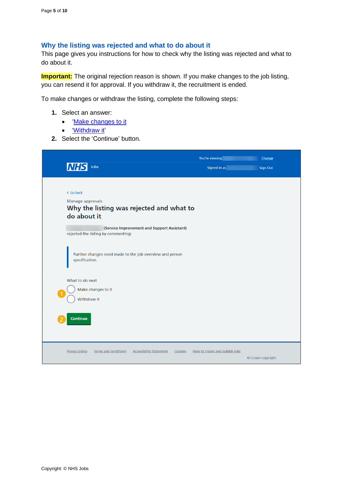#### <span id="page-4-0"></span>**Why the listing was rejected and what to do about it**

This page gives you instructions for how to check why the listing was rejected and what to do about it.

**Important:** The original rejection reason is shown. If you make changes to the job listing, you can resend it for approval. If you withdraw it, the recruitment is ended.

To make changes or withdraw the listing, complete the following steps:

- **1.** Select an answer:
	- ['Make changes to it](#page-5-0)
	- ['Withdraw it'](#page-8-0)
- **2.** Select the 'Continue' button.

| Jobs<br><b>NHS</b>                                                                                                                                                                                                                                                                                                                      | You're viewing<br>Signed in as | Change<br><b>Sign Out</b> |
|-----------------------------------------------------------------------------------------------------------------------------------------------------------------------------------------------------------------------------------------------------------------------------------------------------------------------------------------|--------------------------------|---------------------------|
| < Go back<br>Manage approvals<br>Why the listing was rejected and what to<br>do about it<br>(Service Improvement and Support Assistant)<br>rejected the listing by commenting:<br>Further changes need made to the job overview and person<br>specification.<br>What to do next<br>Make changes to it<br>Withdraw it<br><b>Continue</b> |                                |                           |
| <b>Privacy policy</b><br><b>Terms and conditions</b><br><b>Accessibility Statement</b><br>Cookies                                                                                                                                                                                                                                       | How to create and publish jobs | © Crown copyright         |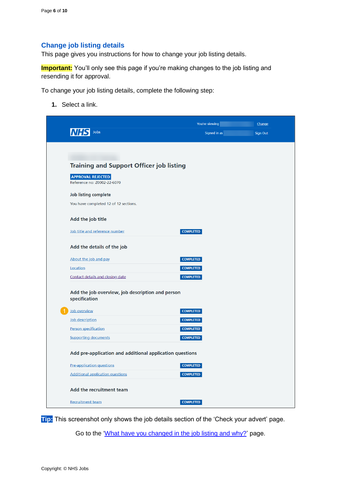#### <span id="page-5-0"></span>**Change job listing details**

This page gives you instructions for how to change your job listing details.

**Important:** You'll only see this page if you're making changes to the job listing and resending it for approval.

To change your job listing details, complete the following step:

**1.** Select a link.

|                                                                   | You're viewing   | Change          |
|-------------------------------------------------------------------|------------------|-----------------|
| Jobs                                                              | Signed in as     | <b>Sign Out</b> |
|                                                                   |                  |                 |
|                                                                   |                  |                 |
| <b>Training and Support Officer job listing</b>                   |                  |                 |
| <b>APPROVAL REJECTED</b><br>Reference no: Z0002-22-6070           |                  |                 |
| Job listing complete                                              |                  |                 |
| You have completed 12 of 12 sections.                             |                  |                 |
| Add the job title                                                 |                  |                 |
| Job title and reference number                                    | <b>COMPLETED</b> |                 |
| Add the details of the job                                        |                  |                 |
| About the job and pay                                             | <b>COMPLETED</b> |                 |
| Location                                                          | <b>COMPLETED</b> |                 |
| Contact details and closing date                                  | <b>COMPLETED</b> |                 |
| Add the job overview, job description and person<br>specification |                  |                 |
| Job overview                                                      | <b>COMPLETED</b> |                 |
| Job description                                                   | <b>COMPLETED</b> |                 |
| <b>Person specification</b>                                       | <b>COMPLETED</b> |                 |
| <b>Supporting documents</b>                                       | <b>COMPLETED</b> |                 |
| Add pre-application and additional application questions          |                  |                 |
| <b>Pre-application questions</b>                                  | <b>COMPLETED</b> |                 |
| <b>Additional application questions</b>                           | <b>COMPLETED</b> |                 |
| Add the recruitment team                                          |                  |                 |
| <b>Recruitment team</b>                                           | <b>COMPLETED</b> |                 |

**Tip:** This screenshot only shows the job details section of the 'Check your advert' page.

Go to the ['What have you changed in the job listing and why?'](#page-6-0) page.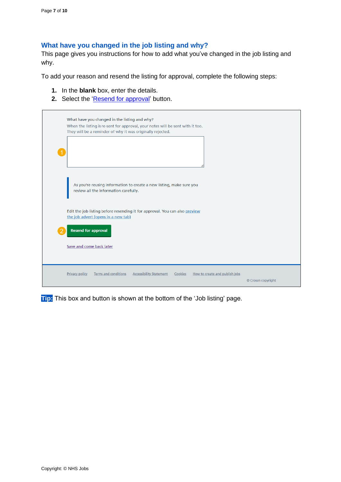#### <span id="page-6-0"></span>**What have you changed in the job listing and why?**

This page gives you instructions for how to add what you've changed in the job listing and why.

To add your reason and resend the listing for approval, complete the following steps:

- **1.** In the **blank** box, enter the details.
- **2.** Select the ['Resend for approval'](#page-7-0) button.

| What have you changed in the listing and why?<br>When the listing is re-sent for approval, your notes will be sent with it too.<br>They will be a reminder of why it was originally rejected. |                   |
|-----------------------------------------------------------------------------------------------------------------------------------------------------------------------------------------------|-------------------|
| As you're reusing information to create a new listing, make sure you<br>review all the information carefully.                                                                                 |                   |
| Edit the job listing before resending it for approval. You can also preview<br>the job advert (opens in a new tab)<br><b>Resend for approval</b>                                              |                   |
| Save and come back later                                                                                                                                                                      |                   |
| <b>Terms and conditions</b><br><b>Accessibility Statement</b><br><b>Privacy policy</b><br>Cookies<br>How to create and publish jobs                                                           | © Crown copyright |

**Tip:** This box and button is shown at the bottom of the 'Job listing' page.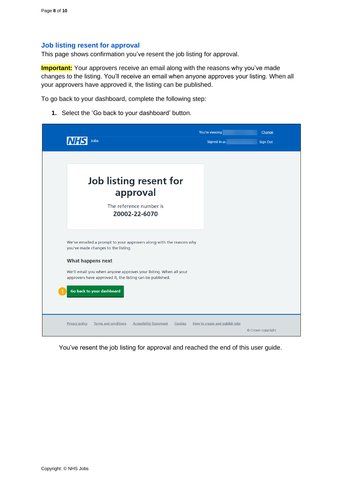#### <span id="page-7-0"></span>**Job listing resent for approval**

This page shows confirmation you've resent the job listing for approval.

**Important:** Your approvers receive an email along with the reasons why you've made changes to the listing. You'll receive an email when anyone approves your listing. When all your approvers have approved it, the listing can be published.

To go back to your dashboard, complete the following step:

**1.** Select the 'Go back to your dashboard' button.

|                                                                                                                               | You're viewing                 | Change            |
|-------------------------------------------------------------------------------------------------------------------------------|--------------------------------|-------------------|
| Jobs                                                                                                                          | Signed in as                   | <b>Sign Out</b>   |
|                                                                                                                               |                                |                   |
|                                                                                                                               |                                |                   |
| Job listing resent for<br>approval                                                                                            |                                |                   |
| The reference number is<br>Z0002-22-6070                                                                                      |                                |                   |
| We've emailed a prompt to your approvers along with the reasons why<br>you've made changes to the listing.                    |                                |                   |
| <b>What happens next</b>                                                                                                      |                                |                   |
| We'll email you when anyone approves your listing. When all your<br>approvers have approved it, the listing can be published. |                                |                   |
| Go back to your dashboard                                                                                                     |                                |                   |
|                                                                                                                               |                                |                   |
| <b>Privacy policy</b><br>Terms and conditions<br><b>Accessibility Statement</b><br>Cookies                                    | How to create and publish jobs | © Crown copyright |

You've resent the job listing for approval and reached the end of this user guide.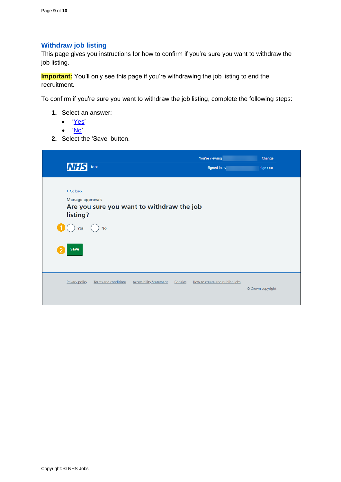## <span id="page-8-0"></span>**Withdraw job listing**

This page gives you instructions for how to confirm if you're sure you want to withdraw the job listing.

**Important:** You'll only see this page if you're withdrawing the job listing to end the recruitment.

To confirm if you're sure you want to withdraw the job listing, complete the following steps:

- **1.** Select an answer:
	- ['Yes'](#page-9-0)
	- ['No'](#page-4-0)
- **2.** Select the 'Save' button.

|                                                                            |                                           | You're viewing                 | Change            |
|----------------------------------------------------------------------------|-------------------------------------------|--------------------------------|-------------------|
| <b>NHS</b><br>Jobs                                                         |                                           | Signed in as                   | <b>Sign Out</b>   |
| < Go back<br>Manage approvals<br>Are you sure you want to withdraw the job |                                           |                                |                   |
| listing?                                                                   |                                           |                                |                   |
| <b>No</b><br>Yes                                                           |                                           |                                |                   |
| Save                                                                       |                                           |                                |                   |
| <b>Terms and conditions</b><br>Privacy policy                              | <b>Accessibility Statement</b><br>Cookies | How to create and publish jobs | © Crown copyright |